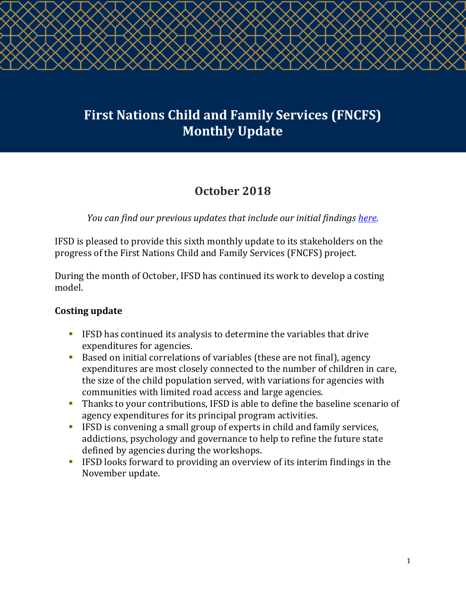# **First Nations Child and Family Services (FNCFS) Monthly Update**

## **October 2018**

*You can find our previous updates that include our initial findings [here.](http://ifsd.ca/en/monthly-updates)*

IFSD is pleased to provide this sixth monthly update to its stakeholders on the progress of the First Nations Child and Family Services (FNCFS) project.

During the month of October, IFSD has continued its work to develop a costing model.

#### **Costing update**

- **IFSD has continued its analysis to determine the variables that drive** expenditures for agencies.
- Based on initial correlations of variables (these are not final), agency expenditures are most closely connected to the number of children in care, the size of the child population served, with variations for agencies with communities with limited road access and large agencies.
- Thanks to your contributions, IFSD is able to define the baseline scenario of agency expenditures for its principal program activities.
- IFSD is convening a small group of experts in child and family services, addictions, psychology and governance to help to refine the future state defined by agencies during the workshops.
- IFSD looks forward to providing an overview of its interim findings in the November update.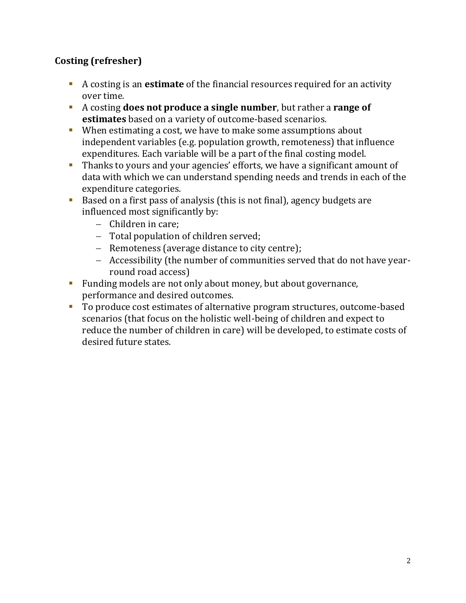### **Costing (refresher)**

- A costing is an **estimate** of the financial resources required for an activity over time.
- A costing **does not produce a single number**, but rather a **range of estimates** based on a variety of outcome-based scenarios.
- When estimating a cost, we have to make some assumptions about independent variables (e.g. population growth, remoteness) that influence expenditures. Each variable will be a part of the final costing model.
- Thanks to yours and your agencies' efforts, we have a significant amount of data with which we can understand spending needs and trends in each of the expenditure categories.
- Based on a first pass of analysis (this is not final), agency budgets are influenced most significantly by:
	- − Children in care;
	- − Total population of children served;
	- − Remoteness (average distance to city centre);
	- − Accessibility (the number of communities served that do not have yearround road access)
- Funding models are not only about money, but about governance, performance and desired outcomes.
- To produce cost estimates of alternative program structures, outcome-based scenarios (that focus on the holistic well-being of children and expect to reduce the number of children in care) will be developed, to estimate costs of desired future states.